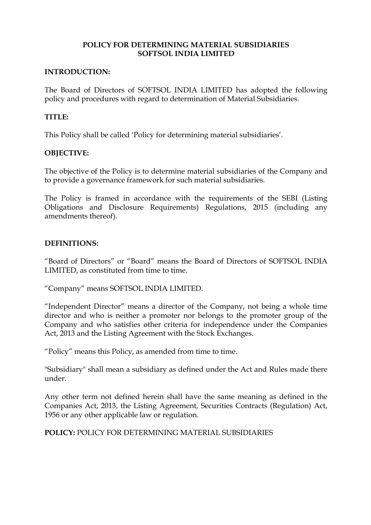# **POLICY FOR DETERMINING MATERIAL SUBSIDIARIES SOFTSOL INDIA LIMITED**

#### **INTRODUCTION:**

The Board of Directors of SOFTSOL INDIA LIMITED has adopted the following policy and procedures with regard to determination of Material Subsidiaries.

### **TITLE:**

This Policy shall be called 'Policy for determining material subsidiaries'.

# **OBJECTIVE:**

The objective of the Policy is to determine material subsidiaries of the Company and to provide a governance framework for such material subsidiaries.

The Policy is framed in accordance with the requirements of the SEBI (Listing Obligations and Disclosure Requirements) Regulations, 2015 (including any amendments thereof).

#### **DEFINITIONS:**

"Board of Directors" or "Board" means the Board of Directors of SOFTSOL INDIA LIMITED, as constituted from time to time.

"Company" means SOFTSOL INDIA LIMITED.

"Independent Director" means a director of the Company, not being a whole time director and who is neither a promoter nor belongs to the promoter group of the Company and who satisfies other criteria for independence under the Companies Act, 2013 and the Listing Agreement with the Stock Exchanges.

"Policy" means this Policy, as amended from time to time.

"Subsidiary" shall mean a subsidiary as defined under the Act and Rules made there under.

Any other term not defined herein shall have the same meaning as defined in the Companies Act, 2013, the Listing Agreement, Securities Contracts (Regulation) Act, 1956 or any other applicable law or regulation.

**POLICY:** POLICY FOR DETERMINING MATERIAL SUBSIDIARIES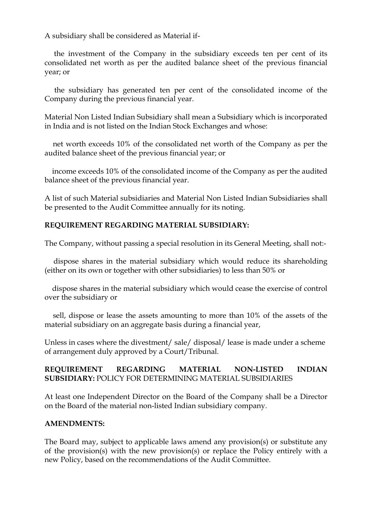A subsidiary shall be considered as Material if-

 the investment of the Company in the subsidiary exceeds ten per cent of its consolidated net worth as per the audited balance sheet of the previous financial year; or

 the subsidiary has generated ten per cent of the consolidated income of the Company during the previous financial year.

Material Non Listed Indian Subsidiary shall mean a Subsidiary which is incorporated in India and is not listed on the Indian Stock Exchanges and whose:

 net worth exceeds 10% of the consolidated net worth of the Company as per the audited balance sheet of the previous financial year; or

 income exceeds 10% of the consolidated income of the Company as per the audited balance sheet of the previous financial year.

A list of such Material subsidiaries and Material Non Listed Indian Subsidiaries shall be presented to the Audit Committee annually for its noting.

# **REQUIREMENT REGARDING MATERIAL SUBSIDIARY:**

The Company, without passing a special resolution in its General Meeting, shall not:-

 dispose shares in the material subsidiary which would reduce its shareholding (either on its own or together with other subsidiaries) to less than 50% or

 dispose shares in the material subsidiary which would cease the exercise of control over the subsidiary or

 sell, dispose or lease the assets amounting to more than 10% of the assets of the material subsidiary on an aggregate basis during a financial year,

Unless in cases where the divestment/ sale/ disposal/ lease is made under a scheme of arrangement duly approved by a Court/Tribunal.

# **REQUIREMENT REGARDING MATERIAL NON-LISTED INDIAN SUBSIDIARY:** POLICY FOR DETERMINING MATERIAL SUBSIDIARIES

At least one Independent Director on the Board of the Company shall be a Director on the Board of the material non-listed Indian subsidiary company.

#### **AMENDMENTS:**

The Board may, subject to applicable laws amend any provision(s) or substitute any of the provision(s) with the new provision(s) or replace the Policy entirely with a new Policy, based on the recommendations of the Audit Committee.